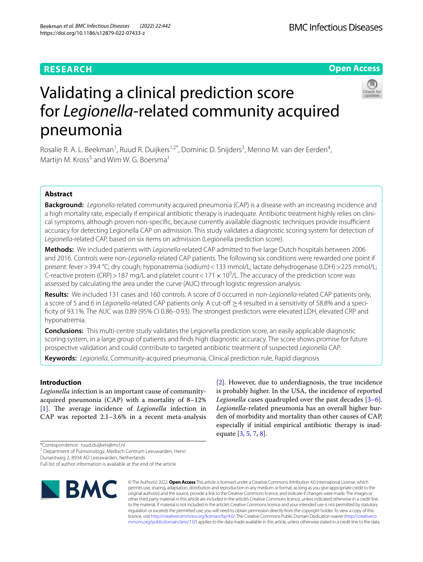# **RESEARCH**

# **Open Access**



# Validating a clinical prediction score for *Legionella*-related community acquired pneumonia

Rosalie R. A. L. Beekman<sup>1</sup>, Ruud R. Duijkers<sup>1,2\*</sup>, Dominic D. Snijders<sup>3</sup>, Menno M. van der Eerden<sup>4</sup>, Martijn M. Kross<sup>5</sup> and Wim W. G. Boersma<sup>1</sup>

# **Abstract**

**Background:** *Legionella-*related community acquired pneumonia (CAP) is a disease with an increasing incidence and a high mortality rate, especially if empirical antibiotic therapy is inadequate. Antibiotic treatment highly relies on clinical symptoms, although proven non-specific, because currently available diagnostic techniques provide insufficient accuracy for detecting Legionella CAP on admission. This study validates a diagnostic scoring system for detection of *Legionella*-related CAP, based on six items on admission (Legionella prediction score).

**Methods:** We included patients with *Legionella*-related CAP admitted to fve large Dutch hospitals between 2006 and 2016. Controls were non-*Legionella*-related CAP patients. The following six conditions were rewarded one point if present: fever>39.4 °C; dry cough; hyponatremia (sodium)<133 mmol/L; lactate dehydrogenase (LDH)>225 mmol/L; C-reactive protein (CRP) > 187 mg/L and platelet count < 171  $\times$  10<sup>9</sup>/L. The accuracy of the prediction score was assessed by calculating the area under the curve (AUC) through logistic regression analysis.

**Results:** We included 131 cases and 160 controls. A score of 0 occurred in non-*Legionella-*related CAP patients only, a score of 5 and 6 in *Legionella-*related CAP patients only. A cut-of ≥4 resulted in a sensitivity of 58.8% and a specifcity of 93.1%. The AUC was 0.89 (95% CI 0.86–0.93). The strongest predictors were elevated LDH, elevated CRP and hyponatremia.

**Conclusions:** This multi-centre study validates the Legionella prediction score, an easily applicable diagnostic scoring system, in a large group of patients and fnds high diagnostic accuracy. The score shows promise for future prospective validation and could contribute to targeted antibiotic treatment of suspected *Legionella* CAP.

**Keywords:** *Legionella*, Community-acquired pneumonia, Clinical prediction rule, Rapid diagnosis

# **Introduction**

*Legionella* infection is an important cause of communityacquired pneumonia (CAP) with a mortality of 8–12% [[1\]](#page-7-0). The average incidence of *Legionella* infection in CAP was reported 2.1–3.6% in a recent meta-analysis

\*Correspondence: ruud.duijkers@mcl.nl

<sup>2</sup> Department of Pulmonology, Medisch Centrum Leeuwarden, Henri

Dunantweg 2, 8934 AD Leeuwarden, Netherlands

Full list of author information is available at the end of the article



[[2\]](#page-7-1). However, due to underdiagnosis, the true incidence is probably higher. In the USA, the incidence of reported *Legionella* cases quadrupled over the past decades [\[3](#page-7-2)[–6](#page-7-3)]. *Legionella*-related pneumonia has an overall higher burden of morbidity and mortality than other causes of CAP, especially if initial empirical antibiotic therapy is inadequate [\[3](#page-7-2), [5,](#page-7-4) [7](#page-7-5), [8\]](#page-7-6).

© The Author(s) 2022. **Open Access** This article is licensed under a Creative Commons Attribution 4.0 International License, which permits use, sharing, adaptation, distribution and reproduction in any medium or format, as long as you give appropriate credit to the original author(s) and the source, provide a link to the Creative Commons licence, and indicate if changes were made. The images or other third party material in this article are included in the article's Creative Commons licence, unless indicated otherwise in a credit line to the material. If material is not included in the article's Creative Commons licence and your intended use is not permitted by statutory regulation or exceeds the permitted use, you will need to obtain permission directly from the copyright holder. To view a copy of this licence, visit [http://creativecommons.org/licenses/by/4.0/.](http://creativecommons.org/licenses/by/4.0/) The Creative Commons Public Domain Dedication waiver ([http://creativeco](http://creativecommons.org/publicdomain/zero/1.0/) [mmons.org/publicdomain/zero/1.0/](http://creativecommons.org/publicdomain/zero/1.0/)) applies to the data made available in this article, unless otherwise stated in a credit line to the data.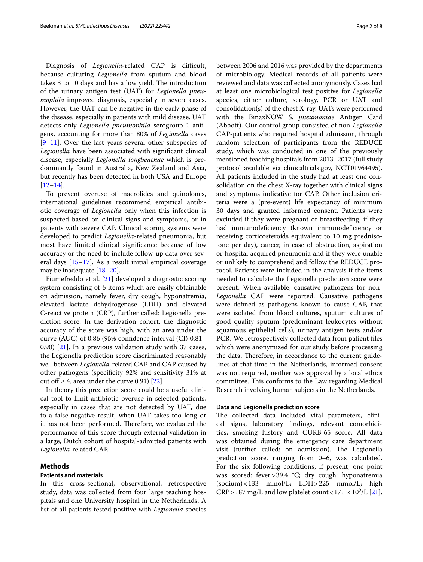Diagnosis of *Legionella-related* CAP is difficult, because culturing *Legionella* from sputum and blood takes 3 to 10 days and has a low yield. The introduction of the urinary antigen test (UAT) for *Legionella pneumophila* improved diagnosis, especially in severe cases. However, the UAT can be negative in the early phase of the disease, especially in patients with mild disease. UAT detects only *Legionella pneumophila* serogroup 1 antigens, accounting for more than 80% of *Legionella* cases [[9–](#page-7-7)[11\]](#page-7-8). Over the last years several other subspecies of *Legionella* have been associated with signifcant clinical disease, especially *Legionella longbeachae* which is predominantly found in Australia, New Zealand and Asia, but recently has been detected in both USA and Europe [[12–](#page-7-9)[14](#page-7-10)].

To prevent overuse of macrolides and quinolones, international guidelines recommend empirical antibiotic coverage of *Legionella* only when this infection is suspected based on clinical signs and symptoms, or in patients with severe CAP. Clinical scoring systems were developed to predict *Legionella*-related pneumonia, but most have limited clinical signifcance because of low accuracy or the need to include follow-up data over several days  $[15-17]$  $[15-17]$  $[15-17]$ . As a result initial empirical coverage may be inadequate [[18](#page-7-13)[–20](#page-7-14)].

Fiumefreddo et al. [[21\]](#page-7-15) developed a diagnostic scoring system consisting of 6 items which are easily obtainable on admission, namely fever, dry cough, hyponatremia, elevated lactate dehydrogenase (LDH) and elevated C-reactive protein (CRP), further called: Legionella prediction score. In the derivation cohort, the diagnostic accuracy of the score was high, with an area under the curve (AUC) of 0.86 (95% confdence interval (CI) 0.81– 0.90) [[21\]](#page-7-15). In a previous validation study with 37 cases, the Legionella prediction score discriminated reasonably well between *Legionella*-related CAP and CAP caused by other pathogens (specifcity 92% and sensitivity 31% at cut off  $\geq$  4, area under the curve 0.91) [[22](#page-7-16)].

In theory this prediction score could be a useful clinical tool to limit antibiotic overuse in selected patients, especially in cases that are not detected by UAT, due to a false-negative result, when UAT takes too long or it has not been performed. Therefore, we evaluated the performance of this score through external validation in a large, Dutch cohort of hospital-admitted patients with *Legionella*-related CAP.

#### **Methods**

#### **Patients and materials**

In this cross-sectional, observational, retrospective study, data was collected from four large teaching hospitals and one University hospital in the Netherlands. A list of all patients tested positive with *Legionella* species between 2006 and 2016 was provided by the departments of microbiology. Medical records of all patients were reviewed and data was collected anonymously. Cases had at least one microbiological test positive for *Legionella* species, either culture, serology, PCR or UAT and consolidation(s) of the chest X-ray. UATs were performed with the BinaxNOW *S. pneumoniae* Antigen Card (Abbott). Our control group consisted of non-*Legionella* CAP-patients who required hospital admission, through random selection of participants from the REDUCE study, which was conducted in one of the previously mentioned teaching hospitals from 2013–2017 (full study protocol available via clinicaltrials.gov, NCT01964495). All patients included in the study had at least one consolidation on the chest X-ray together with clinical signs and symptoms indicative for CAP. Other inclusion criteria were a (pre-event) life expectancy of minimum 30 days and granted informed consent. Patients were excluded if they were pregnant or breastfeeding, if they had immunodefciency (known immunodefciency or receiving corticosteroids equivalent to 10 mg prednisolone per day), cancer, in case of obstruction, aspiration or hospital acquired pneumonia and if they were unable or unlikely to comprehend and follow the REDUCE protocol. Patients were included in the analysis if the items needed to calculate the Legionella prediction score were present. When available, causative pathogens for non-*Legionella* CAP were reported. Causative pathogens were defned as pathogens known to cause CAP, that were isolated from blood cultures, sputum cultures of good quality sputum (predominant leukocytes without squamous epithelial cells), urinary antigen tests and/or PCR. We retrospectively collected data from patient fles which were anonymized for our study before processing the data. Therefore, in accordance to the current guidelines at that time in the Netherlands, informed consent was not required, neither was approval by a local ethics committee. This conforms to the Law regarding Medical Research involving human subjects in the Netherlands.

#### **Data and Legionella prediction score**

The collected data included vital parameters, clinical signs, laboratory fndings, relevant comorbidities, smoking history and CURB-65 score. All data was obtained during the emergency care department visit (further called: on admission). The Legionella prediction score, ranging from 0–6, was calculated. For the six following conditions, if present, one point was scored: fever > 39.4 °C; dry cough; hyponatremia (sodium)<133 mmol/L; LDH>225 mmol/L; high  $CRP > 187$  mg/L and low platelet count <  $171 \times 10^9$ /L [\[21](#page-7-15)].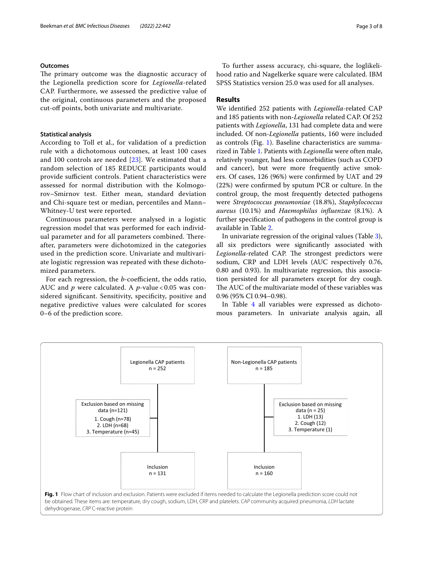### **Outcomes**

The primary outcome was the diagnostic accuracy of the Legionella prediction score for *Legionella*-related CAP. Furthermore, we assessed the predictive value of the original, continuous parameters and the proposed cut-of points, both univariate and multivariate.

#### **Statistical analysis**

According to Toll et al., for validation of a prediction rule with a dichotomous outcomes, at least 100 cases and 100 controls are needed [\[23](#page-7-17)]. We estimated that a random selection of 185 REDUCE participants would provide sufficient controls. Patient characteristics were assessed for normal distribution with the Kolmogorov–Smirnov test. Either mean, standard deviation and Chi-square test or median, percentiles and Mann– Whitney-U test were reported.

Continuous parameters were analysed in a logistic regression model that was performed for each individual parameter and for all parameters combined. Thereafter, parameters were dichotomized in the categories used in the prediction score. Univariate and multivariate logistic regression was repeated with these dichotomized parameters.

For each regression, the *b*-coefficient, the odds ratio, AUC and *p* were calculated. A *p*-value < 0.05 was considered signifcant. Sensitivity, specifcity, positive and negative predictive values were calculated for scores 0–6 of the prediction score.

To further assess accuracy, chi-square, the loglikelihood ratio and Nagelkerke square were calculated. IBM SPSS Statistics version 25.0 was used for all analyses.

## **Results**

We identifed 252 patients with *Legionella-*related CAP and 185 patients with non-*Legionella* related CAP. Of 252 patients with *Legionella*, 131 had complete data and were included. Of non-*Legionella* patients, 160 were included as controls (Fig. [1\)](#page-2-0). Baseline characteristics are summarized in Table [1](#page-3-0). Patients with *Legionella* were often male, relatively younger, had less comorbidities (such as COPD and cancer), but were more frequently active smokers. Of cases, 126 (96%) were confrmed by UAT and 29 (22%) were confrmed by sputum PCR or culture. In the control group, the most frequently detected pathogens were *Streptococcus pneumoniae* (18.8%), *Staphylococcus aureus* (10.1%) and *Haemophilus infuenzae* (8.1%). A further specifcation of pathogens in the control group is available in Table [2](#page-4-0).

In univariate regression of the original values (Table [3](#page-4-1)), all six predictors were signifcantly associated with Legionella-related CAP. The strongest predictors were sodium, CRP and LDH levels (AUC respectively 0.76, 0.80 and 0.93). In multivariate regression, this association persisted for all parameters except for dry cough. The AUC of the multivariate model of these variables was 0.96 (95% CI 0.94–0.98).

In Table [4](#page-4-2) all variables were expressed as dichotomous parameters. In univariate analysis again, all

<span id="page-2-0"></span>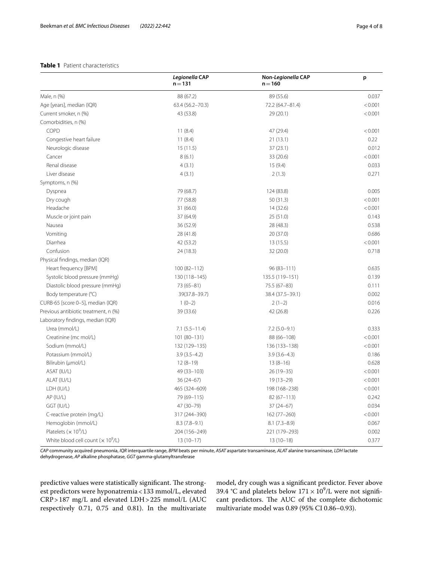#### <span id="page-3-0"></span>**Table 1** Patient characteristics

|                                          | Legionella CAP<br>$n = 131$ | Non-Legionella CAP<br>$n = 160$ | p       |
|------------------------------------------|-----------------------------|---------------------------------|---------|
| Male, n (%)                              | 88 (67.2)                   | 89 (55.6)                       | 0.037   |
| Age [years], median (IQR)                | 63.4 (56.2-70.3)            | 72.2 (64.7-81.4)                | < 0.001 |
| Current smoker, n (%)                    | 43 (53.8)                   | 29 (20.1)                       | < 0.001 |
| Comorbidities, n (%)                     |                             |                                 |         |
| COPD                                     | 11(8.4)                     | 47 (29.4)                       | < 0.001 |
| Congestive heart failure                 | 11(8.4)                     | 21(13.1)                        | 0.22    |
| Neurologic disease                       | 15(11.5)                    | 37(23.1)                        | 0.012   |
| Cancer                                   | 8(6.1)                      | 33 (20.6)                       | < 0.001 |
| Renal disease                            | 4(3.1)                      | 15(9.4)                         | 0.033   |
| Liver disease                            | 4(3.1)                      | 2(1.3)                          | 0.271   |
| Symptoms, n (%)                          |                             |                                 |         |
| Dyspnea                                  | 79 (68.7)                   | 124 (83.8)                      | 0.005   |
| Dry cough                                | 77 (58.8)                   | 50(31.3)                        | < 0.001 |
| Headache                                 | 31 (66.0)                   | 14(32.6)                        | < 0.001 |
| Muscle or joint pain                     | 37 (64.9)                   | 25 (51.0)                       | 0.143   |
| Nausea                                   | 36 (52.9)                   | 28 (48.3)                       | 0.538   |
| Vomiting                                 | 28 (41.8)                   | 20 (37.0)                       | 0.686   |
| Diarrhea                                 | 42 (53.2)                   | 13(15.5)                        | < 0.001 |
| Confusion                                | 24 (18.3)                   | 32 (20.0)                       | 0.718   |
| Physical findings, median (IQR)          |                             |                                 |         |
| Heart frequency [BPM]                    | $100(82 - 112)$             | $96(83 - 111)$                  | 0.635   |
| Systolic blood pressure (mmHg)           | 130 (118-145)               | 135.5 (119-151)                 | 0.139   |
| Diastolic blood pressure (mmHg)          | $73(65 - 81)$               | 75.5 (67-83)                    | 0.111   |
| Body temperature (°C)                    | 39(37.8-39.7)               | 38.4 (37.5 - 39.1)              | 0.002   |
| CURB-65 [score 0-5], median (IQR)        | $1(0-2)$                    | $2(1-2)$                        | 0.016   |
| Previous antibiotic treatment, n (%)     | 39 (33.6)                   | 42 (26.8)                       | 0.226   |
| Laboratory findings, median (IQR)        |                             |                                 |         |
| Urea (mmol/L)                            | $7.1 (5.5 - 11.4)$          | $7.2(5.0-9.1)$                  | 0.333   |
| Creatinine (mc mol/L)                    | 101 (80-131)                | 88 (66-108)                     | < 0.001 |
| Sodium (mmol/L)                          | 132 (129-135)               | 136 (133-138)                   | < 0.001 |
| Potassium (mmol/L)                       | $3.9(3.5-4.2)$              | $3.9(3.6-4.3)$                  | 0.186   |
| Bilirubin (µmol/L)                       | $12(8-19)$                  | $13(8-16)$                      | 0.628   |
| ASAT (IU/L)                              | 49 (33-103)                 | $26(19-35)$                     | < 0.001 |
| ALAT (IU/L)                              | $36(24-67)$                 | $19(13-29)$                     | < 0.001 |
| LDH (IU/L)                               | 465 (324-609)               | 198 (168-238)                   | < 0.001 |
| AP (IU/L)                                | 79 (69-115)                 | $82(67 - 113)$                  | 0.242   |
| GGT (IU/L)                               | 47 (30-79)                  | $37(24-67)$                     | 0.034   |
| C-reactive protein (mg/L)                | 317 (244-390)               | 162 (77-260)                    | < 0.001 |
| Hemoglobin (mmol/L)                      | $8.3(7.8-9.1)$              | $8.1(7.3-8.9)$                  | 0.067   |
| Platelets ( $\times$ 10 <sup>9</sup> /L) | 204 (156-249)               | 221 (179-293)                   | 0.002   |
| White blood cell count $(x 10^9/L)$      | $13(10-17)$                 | $13(10-18)$                     | 0.377   |

*CAP* community acquired pneumonia, *IQR* interquartile range, *BPM* beats per minute, *ASAT* aspartate transaminase, *ALAT* alanine transaminase, *LDH* lactate dehydrogenase, *AP* alkaline phosphatase, *GGT* gamma-glutamyltransferase

predictive values were statistically significant. The strongest predictors were hyponatremia<133 mmol/L, elevated CRP>187 mg/L and elevated LDH>225 mmol/L (AUC respectively 0.71, 0.75 and 0.81). In the multivariate model, dry cough was a signifcant predictor. Fever above 39.4 °C and platelets below  $171 \times 10^9$ /L were not significant predictors. The AUC of the complete dichotomic multivariate model was 0.89 (95% CI 0.86–0.93).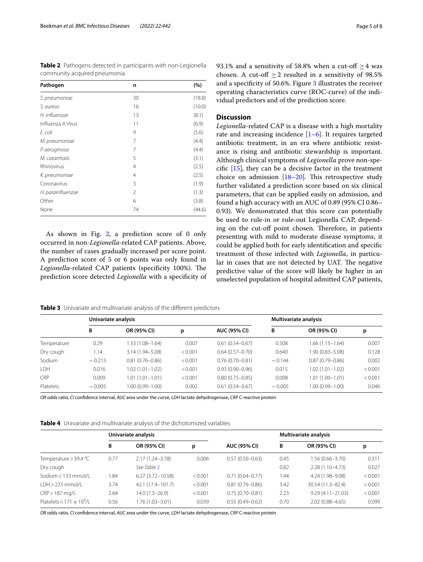<span id="page-4-0"></span>**Table 2** Pathogens detected in participants with non-Legionella community acquired pneumonia

| Pathogen          | n              | (%)    |
|-------------------|----------------|--------|
| S. pneumoniae     | 30             | (18.8) |
| S. aureus         | 16             | (10.0) |
| H. influenzae     | 13             | (8.1)  |
| Influenza A Virus | 11             | (6.9)  |
| E. coli           | 9              | (5.6)  |
| M. pneumoniae     | 7              | (4.4)  |
| P. aeruginosa     | 7              | (4.4)  |
| M. catarrhalis    | 5              | (3.1)  |
| Rhinovirus        | $\overline{4}$ | (2.5)  |
| K. pneumoniae     | $\overline{4}$ | (2.5)  |
| Coronavirus       | 3              | (1.9)  |
| H. parainfluenzae | 2              | (1.3)  |
| Other             | 6              | (3.8)  |
| None              | 74             | (44.6) |

As shown in Fig. [2,](#page-5-0) a prediction score of 0 only occurred in non-*Legionella-*related CAP patients. Above, the number of cases gradually increased per score point. A prediction score of 5 or 6 points was only found in Legionella-related CAP patients (specificity 100%). The prediction score detected *Legionella* with a specifcity of

93.1% and a sensitivity of 58.8% when a cut-off  $\geq$  4 was chosen. A cut-off  $\geq$  2 resulted in a sensitivity of 98.5% and a specifcity of 50.6%. Figure [3](#page-5-1) illustrates the receiver operating characteristics curve (ROC-curve) of the individual predictors and of the prediction score.

#### **Discussion**

*Legionella-*related CAP is a disease with a high mortality rate and increasing incidence  $[1-6]$  $[1-6]$  $[1-6]$ . It requires targeted antibiotic treatment, in an era where antibiotic resistance is rising and antibiotic stewardship is important. Although clinical symptoms of *Legionella* prove non-specifc [\[15](#page-7-11)]*,* they can be a decisive factor in the treatment choice on admission [\[18](#page-7-13)[–20](#page-7-14)]. This retrospective study further validated a prediction score based on six clinical parameters, that can be applied easily on admission, and found a high accuracy with an AUC of 0.89 (95% CI 0.86– 0.93). We demonstrated that this score can potentially be used to rule-in or rule-out Legionella CAP, depending on the cut-off point chosen. Therefore, in patients presenting with mild to moderate disease symptoms, it could be applied both for early identifcation and specifc treatment of those infected with *Legionella*, in particular in cases that are not detected by UAT. The negative predictive value of the score will likely be higher in an unselected population of hospital admitted CAP patients,

<span id="page-4-1"></span>

|  |  | Table 3 Univariate and multivariate analysis of the different predictors |  |  |  |  |
|--|--|--------------------------------------------------------------------------|--|--|--|--|
|--|--|--------------------------------------------------------------------------|--|--|--|--|

|                  | Univariate analysis |                     |         |                     | Multivariate analysis |                     |         |
|------------------|---------------------|---------------------|---------|---------------------|-----------------------|---------------------|---------|
|                  | В                   | OR (95% CI)         | р       | <b>AUC (95% CI)</b> | B                     | OR (95% CI)         | р       |
| Temperature      | 0.29                | 1.33 (1.08-1.64)    | 0.007   | $0.61(0.54 - 0.67)$ | 0.508                 | $1.66(1.15 - 1.64)$ | 0.007   |
| Dry cough        | 1.14                | $3.14(1.94 - 5.08)$ | < 0.001 | $0.64(0.57-0.70)$   | 0.640                 | $1.90(0.83 - 5.08)$ | 0.128   |
| Sodium           | $-0.215$            | $0.81(0.76 - 0.86)$ | < 0.001 | $0.76(0.70 - 0.81)$ | $-0.144$              | $0.87(0.79 - 0.86)$ | 0.002   |
| LDH              | 0.016               | 1.02 (1.01-1.02)    | < 0.001 | $0.93(0.90 - 0.96)$ | 0.015                 | $1.02(1.01 - 1.02)$ | < 0.001 |
| CRP              | 0.009               | 1.01 (1.01–1.01)    | < 0.001 | $0.80(0.75 - 0.85)$ | 0.008                 | $1.01(1.00 - 1.01)$ | < 0.001 |
| <b>Platelets</b> | $-0.005$            | $0.00(0.99 - 1.00)$ | 0.002   | $0.61(0.54 - 0.67)$ | $-0.005$              | $1.00(0.99 - 1.00)$ | 0.046   |

*OR* odds ratio, *CI* confdence interval, *AUC* area under the curve, *LDH* lactate dehydrogenase, *CRP* C-reactive protein

<span id="page-4-2"></span>

|                                  | Univariate analysis |                      |         |                     | Multivariate analysis |                      |         |
|----------------------------------|---------------------|----------------------|---------|---------------------|-----------------------|----------------------|---------|
|                                  | В                   | OR (95% CI)          | р       | <b>AUC (95% CI)</b> | B                     | OR (95% CI)          | р       |
| Temperature $>$ 39.4 °C          | 0.77                | $2.17(1.24 - 3.78)$  | 0.006   | $0.57(0.50 - 0.63)$ | 0.45                  | 1.56 (0.66-3.70)     | 0.311   |
| Dry cough                        |                     | See Table 3          |         |                     | 0.82                  | $2.28(1.10 - 4.73)$  | 0.027   |
| Sodium < 133 mmol/L              | 1.84                | $6.27(3.72 - 10.58)$ | < 0.001 | $0.71(0.64 - 0.77)$ | 1.44                  | 4.24 (1.98-9.08)     | < 0.001 |
| $IDH > 225$ mmol/l               | 3.74                | 42.1 (17.4-101.7)    | < 0.001 | $0.81(0.76 - 0.86)$ | 3.42                  | 30.54 (11.3-82.4)    | < 0.001 |
| $CRP > 187$ mg/L                 | 2.64                | $14.0(7.3-26.9)$     | < 0.001 | $0.75(0.70 - 0.81)$ | 2.23                  | $9.29(4.11 - 21.03)$ | < 0.001 |
| Platelets < $171 \times 10^9$ /L | 0.56                | 1.76 (1.03–3.01)     | 0.039   | $0.55(0.49 - 0.62)$ | 0.70                  | $2.02(0.88 - 4.65)$  | 0.099   |

*OR* odds ratio, *CI* confdence interval, *AUC* area under the curve, *LDH* lactate dehydrogenase, *CRP* C-reactive protein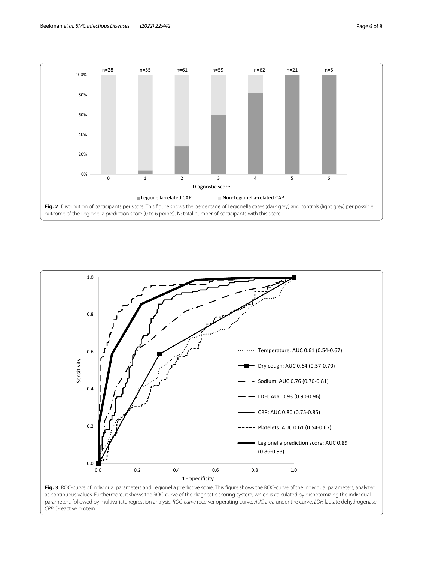

<span id="page-5-0"></span>

<span id="page-5-1"></span>*CRP* C-reactive protein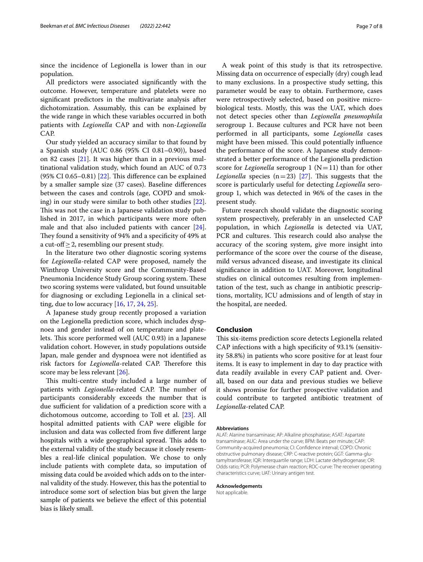since the incidence of Legionella is lower than in our population.

All predictors were associated signifcantly with the outcome. However, temperature and platelets were no signifcant predictors in the multivariate analysis after dichotomization. Assumably, this can be explained by the wide range in which these variables occurred in both patients with *Legionella* CAP and with non-*Legionella* CAP.

Our study yielded an accuracy similar to that found by a Spanish study (AUC 0.86 (95% CI 0.81–0.90)), based on 82 cases [\[21](#page-7-15)]. It was higher than in a previous multinational validation study, which found an AUC of 0.73 (95% CI 0.65–0.81) [ $22$ ]. This difference can be explained by a smaller sample size (37 cases). Baseline diferences between the cases and controls (age, COPD and smoking) in our study were similar to both other studies [\[22](#page-7-16)]. This was not the case in a Japanese validation study published in 2017, in which participants were more often male and that also included patients with cancer [\[24](#page-7-18)]. They found a sensitivity of 94% and a specificity of 49% at a cut-off  $\geq$  2, resembling our present study.

In the literature two other diagnostic scoring systems for *Legionella*-related CAP were proposed, namely the Winthrop University score and the Community-Based Pneumonia Incidence Study Group scoring system. These two scoring systems were validated, but found unsuitable for diagnosing or excluding Legionella in a clinical setting, due to low accuracy [\[16,](#page-7-19) [17](#page-7-12), [24,](#page-7-18) [25\]](#page-7-20).

A Japanese study group recently proposed a variation on the Legionella prediction score, which includes dyspnoea and gender instead of on temperature and platelets. This score performed well (AUC 0.93) in a Japanese validation cohort. However, in study populations outside Japan, male gender and dyspnoea were not identifed as risk factors for *Legionella*-related CAP. Therefore this score may be less relevant [\[26](#page-7-21)].

This multi-centre study included a large number of patients with *Legionella*-related CAP. The number of participants considerably exceeds the number that is due sufficient for validation of a prediction score with a dichotomous outcome, according to Toll et al. [\[23](#page-7-17)]. All hospital admitted patients with CAP were eligible for inclusion and data was collected from fve diferent large hospitals with a wide geographical spread. This adds to the external validity of the study because it closely resembles a real-life clinical population. We chose to only include patients with complete data, so imputation of missing data could be avoided which adds on to the internal validity of the study. However, this has the potential to introduce some sort of selection bias but given the large sample of patients we believe the efect of this potential bias is likely small.

A weak point of this study is that its retrospective. Missing data on occurrence of especially (dry) cough lead to many exclusions. In a prospective study setting, this parameter would be easy to obtain. Furthermore, cases were retrospectively selected, based on positive microbiological tests. Mostly, this was the UAT, which does not detect species other than *Legionella pneumophila* serogroup 1. Because cultures and PCR have not been performed in all participants, some *Legionella* cases might have been missed. This could potentially influence the performance of the score. A Japanese study demonstrated a better performance of the Legionella prediction score for *Legionella* serogroup 1 ( $N=11$ ) than for other *Legionella* species  $(n=23)$  [\[27](#page-7-22)]. This suggests that the

present study. Future research should validate the diagnostic scoring system prospectively, preferably in an unselected CAP population, in which *Legionella* is detected via UAT, PCR and cultures. This research could also analyse the accuracy of the scoring system, give more insight into performance of the score over the course of the disease, mild versus advanced disease, and investigate its clinical signifcance in addition to UAT. Moreover, longitudinal studies on clinical outcomes resulting from implementation of the test, such as change in antibiotic prescriptions, mortality, ICU admissions and of length of stay in the hospital, are needed.

score is particularly useful for detecting *Legionella* serogroup 1, which was detected in 96% of the cases in the

#### **Conclusion**

This six-items prediction score detects Legionella related CAP infections with a high specifcity of 93.1% (sensitivity 58.8%) in patients who score positive for at least four items. It is easy to implement in day to day practice with data readily available in every CAP patient and. Overall, based on our data and previous studies we believe it shows promise for further prospective validation and could contribute to targeted antibiotic treatment of *Legionella-*related CAP.

#### **Abbreviations**

ALAT: Alanine transaminase; AP: Alkaline phosphatase; ASAT: Aspartate transaminase; AUC: Area under the curve; BPM: Beats per minute; CAP: Community-acquired pneumonia; CI: Confdence interval; COPD: Chronic obstructive pulmonary disease; CRP: C-reactive protein; GGT: Gamma-glutamyltransferase; IQR: Interquartile range; LDH: Lactate dehydrogenase; OR: Odds ratio; PCR: Polymerase chain reaction; ROC-curve: The receiver operating characteristics curve; UAT: Urinary antigen test.

#### **Acknowledgements**

Not applicable.